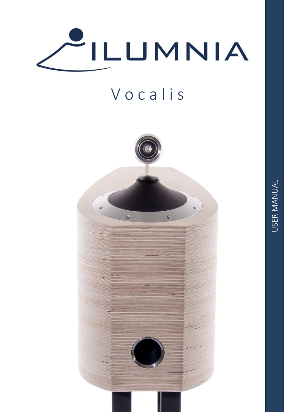

# Vocalis

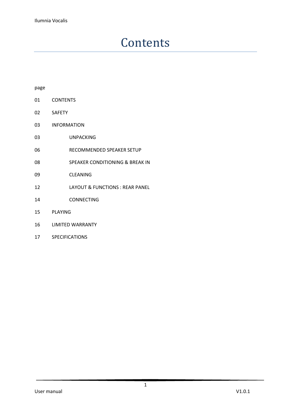## **Contents**

#### page

- CONTENTS
- SAFETY
- INFORMATION
- UNPACKING
- RECOMMENDED SPEAKER SETUP
- SPEAKER CONDITIONING & BREAK IN
- CLEANING
- LAYOUT & FUNCTIONS : REAR PANEL
- CONNECTING
- PLAYING
- LIMITED WARRANTY
- SPECIFICATIONS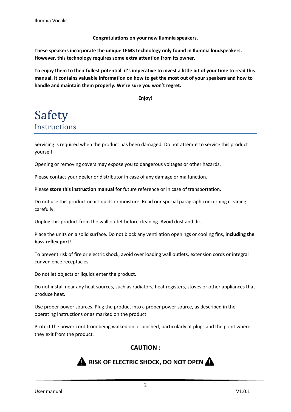**Congratulations on your new Ilumnia speakers.**

**These speakers incorporate the unique LEMS technology only found in Ilumnia loudspeakers. However, this technology requires some extra attention from its owner.** 

**To enjoy them to their fullest potential it's imperative to invest a little bit of your time to read this manual. It contains valuable information on how to get the most out of your speakers and how to handle and maintain them properly. We're sure you won't regret.**

**Enjoy!**

## Safety **Instructions**

Servicing is required when the product has been damaged. Do not attempt to service this product yourself.

Opening or removing covers may expose you to dangerous voltages or other hazards.

Please contact your dealer or distributor in case of any damage or malfunction.

Please **store this instruction manual** for future reference or in case of transportation.

Do not use this product near liquids or moisture. Read our special paragraph concerning cleaning carefully.

Unplug this product from the wall outlet before cleaning. Avoid dust and dirt.

Place the units on a solid surface. Do not block any ventilation openings or cooling fins, **including the bass reflex port!**

To prevent risk of fire or electric shock, avoid over loading wall outlets, extension cords or integral convenience receptacles.

Do not let objects or liquids enter the product.

Do not install near any heat sources, such as radiators, heat registers, stoves or other appliances that produce heat.

Use proper power sources. Plug the product into a proper power source, as described in the operating instructions or as marked on the product.

Protect the power cord from being walked on or pinched, particularly at plugs and the point where they exit from the product.

### **CAUTION :**



## **A** RISK OF ELECTRIC SHOCK, DO NOT OPEN **A**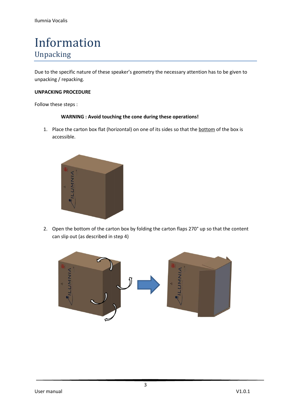## Information Unpacking

Due to the specific nature of these speaker's geometry the necessary attention has to be given to unpacking / repacking.

#### **UNPACKING PROCEDURE**

Follow these steps :

#### **WARNING : Avoid touching the cone during these operations!**

1. Place the carton box flat (horizontal) on one of its sides so that the bottom of the box is accessible.



2. Open the bottom of the carton box by folding the carton flaps 270° up so that the content can slip out (as described in step 4)

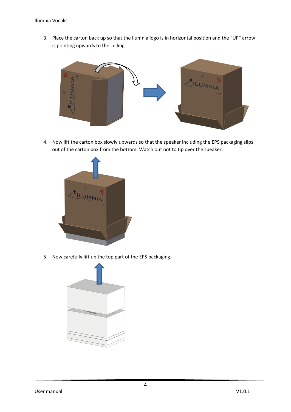3. Place the carton back up so that the Ilumnia logo is in horizontal position and the "UP" arrow is pointing upwards to the ceiling.



4. Now lift the carton box slowly upwards so that the speaker including the EPS packaging slips out of the carton box from the bottom. Watch out not to tip over the speaker.



5. Now carefully lift up the top part of the EPS packaging.

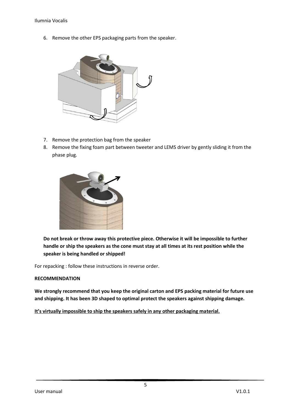6. Remove the other EPS packaging parts from the speaker.



- 7. Remove the protection bag from the speaker
- 8. Remove the fixing foam part between tweeter and LEMS driver by gently sliding it from the phase plug.



**Do not break or throw away this protective piece. Otherwise it will be impossible to further handle or ship the speakers as the cone must stay at all times at its rest position while the speaker is being handled or shipped!**

For repacking : follow these instructions in reverse order.

#### **RECOMMENDATION**

**We strongly recommend that you keep the original carton and EPS packing material for future use and shipping. It has been 3D shaped to optimal protect the speakers against shipping damage.**

**It's virtually impossible to ship the speakers safely in any other packaging material.**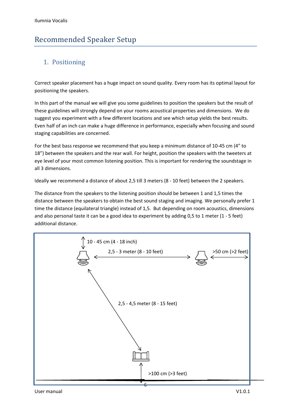## Recommended Speaker Setup

### 1. Positioning

Correct speaker placement has a huge impact on sound quality. Every room has its optimal layout for positioning the speakers.

In this part of the manual we will give you some guidelines to position the speakers but the result of these guidelines will strongly depend on your rooms acoustical properties and dimensions. We do suggest you experiment with a few different locations and see which setup yields the best results. Even half of an inch can make a huge difference in performance, especially when focusing and sound staging capabilities are concerned.

For the best bass response we recommend that you keep a minimum distance of 10-45 cm (4" to 18") between the speakers and the rear wall. For height, position the speakers with the tweeters at eye level of your most common listening position. This is important for rendering the soundstage in all 3 dimensions.

Ideally we recommend a distance of about 2,5 till 3 meters (8 - 10 feet) between the 2 speakers.

The distance from the speakers to the listening position should be between 1 and 1,5 times the distance between the speakers to obtain the best sound staging and imaging. We personally prefer 1 time the distance (equilateral triangle) instead of 1,5. But depending on room acoustics, dimensions and also personal taste it can be a good idea to experiment by adding 0,5 to 1 meter (1 - 5 feet) additional distance.

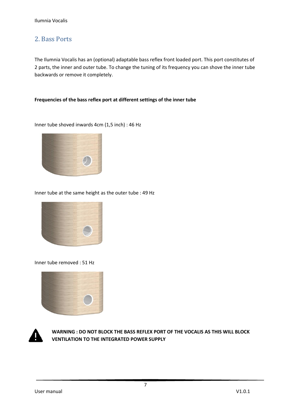### 2. Bass Ports

The Ilumnia Vocalis has an (optional) adaptable bass reflex front loaded port. This port constitutes of 2 parts, the inner and outer tube. To change the tuning of its frequency you can shove the inner tube backwards or remove it completely.

#### **Frequencies of the bass reflex port at different settings of the inner tube**

Inner tube shoved inwards 4cm (1,5 inch) : 46 Hz



Inner tube at the same height as the outer tube : 49 Hz



Inner tube removed : 51 Hz





**WARNING : DO NOT BLOCK THE BASS REFLEX PORT OF THE VOCALIS AS THIS WILL BLOCK VENTILATION TO THE INTEGRATED POWER SUPPLY**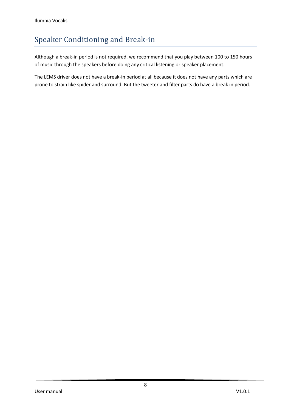## Speaker Conditioning and Break-in

Although a break-in period is not required, we recommend that you play between 100 to 150 hours of music through the speakers before doing any critical listening or speaker placement.

The LEMS driver does not have a break-in period at all because it does not have any parts which are prone to strain like spider and surround. But the tweeter and filter parts do have a break in period.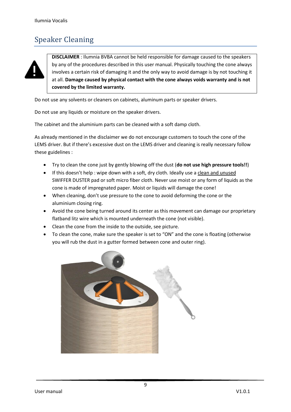## Speaker Cleaning



Do not use any solvents or cleaners on cabinets, aluminum parts or speaker drivers.

Do not use any liquids or moisture on the speaker drivers.

The cabinet and the aluminium parts can be cleaned with a soft damp cloth.

As already mentioned in the disclaimer we do not encourage customers to touch the cone of the LEMS driver. But if there's excessive dust on the LEMS driver and cleaning is really necessary follow these guidelines :

- Try to clean the cone just by gently blowing off the dust (**do not use high pressure tools!!**)
- If this doesn't help : wipe down with a soft, dry cloth. Ideally use a clean and unused SWIFFER DUSTER pad or soft micro fiber cloth. Never use moist or any form of liquids as the cone is made of impregnated paper. Moist or liquids will damage the cone!
- When cleaning, don't use pressure to the cone to avoid deforming the cone or the aluminium closing ring.
- Avoid the cone being turned around its center as this movement can damage our proprietary flatband litz wire which is mounted underneath the cone (not visible).
- Clean the cone from the inside to the outside, see picture.
- To clean the cone, make sure the speaker is set to "ON" and the cone is floating (otherwise you will rub the dust in a gutter formed between cone and outer ring).

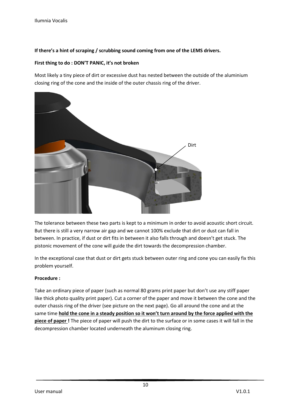#### **If there's a hint of scraping / scrubbing sound coming from one of the LEMS drivers.**

#### **First thing to do : DON'T PANIC, it's not broken**

Most likely a tiny piece of dirt or excessive dust has nested between the outside of the aluminium closing ring of the cone and the inside of the outer chassis ring of the driver.



The tolerance between these two parts is kept to a minimum in order to avoid acoustic short circuit. But there is still a very narrow air gap and we cannot 100% exclude that dirt or dust can fall in between. In practice, if dust or dirt fits in between it also falls through and doesn't get stuck. The pistonic movement of the cone will guide the dirt towards the decompression chamber.

In the exceptional case that dust or dirt gets stuck between outer ring and cone you can easily fix this problem yourself.

#### **Procedure :**

Take an ordinary piece of paper (such as normal 80 grams print paper but don't use any stiff paper like thick photo quality print paper). Cut a corner of the paper and move it between the cone and the outer chassis ring of the driver (see picture on the next page). Go all around the cone and at the same time **hold the cone in a steady position so it won't turn around by the force applied with the piece of paper !** The piece of paper will push the dirt to the surface or in some cases it will fall in the decompression chamber located underneath the aluminum closing ring.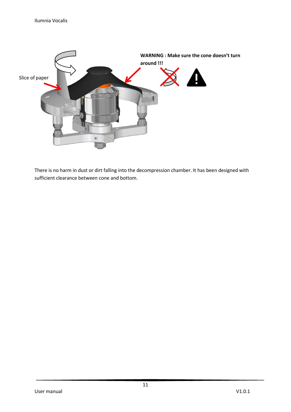

There is no harm in dust or dirt falling into the decompression chamber. It has been designed with sufficient clearance between cone and bottom.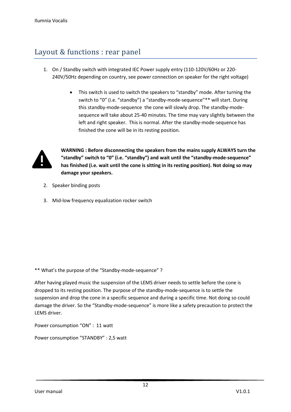## Layout & functions : rear panel

- 1. On / Standby switch with integrated IEC Power supply entry (110-120V/60Hz or 220- 240V/50Hz depending on country, see power connection on speaker for the right voltage)
	- This switch is used to switch the speakers to "standby" mode. After turning the switch to "0" (i.e. "standby") a "standby-mode-sequence"\*\* will start. During this standby-mode-sequence the cone will slowly drop. The standby-modesequence will take about 25-40 minutes. The time may vary slightly between the left and right speaker. This is normal. After the standby-mode-sequence has finished the cone will be in its resting position.



**WARNING : Before disconnecting the speakers from the mains supply ALWAYS turn the "standby" switch to "0" (i.e. "standby") and wait until the "standby-mode-sequence" has finished (i.e. wait until the cone is sitting in its resting position). Not doing so may damage your speakers.**

- 2. Speaker binding posts
- 3. Mid-low frequency equalization rocker switch

\*\* What's the purpose of the "Standby-mode-sequence" ?

After having played music the suspension of the LEMS driver needs to settle before the cone is dropped to its resting position. The purpose of the standby-mode-sequence is to settle the suspension and drop the cone in a specific sequence and during a specific time. Not doing so could damage the driver. So the "Standby-mode-sequence" is more like a safety precaution to protect the LEMS driver.

Power consumption "ON" : 11 watt

Power consumption "STANDBY" : 2,5 watt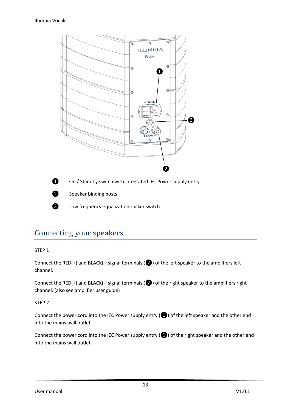



❶ On / Standby switch with integrated IEC Power supply entry



❷ Speaker binding posts

❸ Low frequency equalization rocker switch

## Connecting your speakers

STEP 1

Connect the RED(+) and BLACK(-) signal terminals ( $\bigcirc$ ) of the left speaker to the amplifiers left channel.

Connect the RED(+) and BLACK(-) signal terminals (❷) of the right speaker to the amplifiers right channel. (also see amplifier user guide)

#### STEP 2

Connect the power cord into the IEC Power supply entry (❶) of the left speaker and the other end into the mains wall outlet.

Connect the power cord into the IEC Power supply entry (❶) of the right speaker and the other end into the mains wall outlet.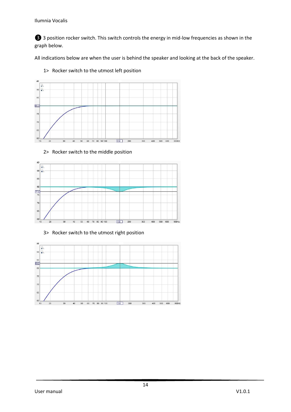Ilumnia Vocalis

❸ 3 position rocker switch. This switch controls the energy in mid-low frequencies as shown in the graph below.

All indications below are when the user is behind the speaker and looking at the back of the speaker.



#### 1> Rocker switch to the utmost left position

2> Rocker switch to the middle position



#### 3> Rocker switch to the utmost right position

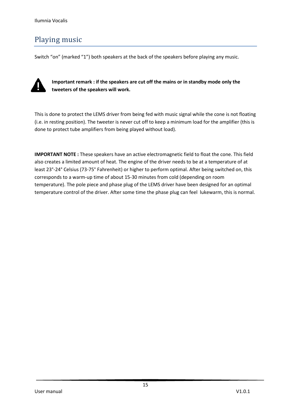## Playing music

Switch "on" (marked "1") both speakers at the back of the speakers before playing any music.



**Important remark : if the speakers are cut off the mains or in standby mode only the tweeters of the speakers will work.**

This is done to protect the LEMS driver from being fed with music signal while the cone is not floating (i.e. in resting position). The tweeter is never cut off to keep a minimum load for the amplifier (this is done to protect tube amplifiers from being played without load).

**IMPORTANT NOTE :** These speakers have an active electromagnetic field to float the cone. This field also creates a limited amount of heat. The engine of the driver needs to be at a temperature of at least 23°-24° Celsius (73-75° Fahrenheit) or higher to perform optimal. After being switched on, this corresponds to a warm-up time of about 15-30 minutes from cold (depending on room temperature). The pole piece and phase plug of the LEMS driver have been designed for an optimal temperature control of the driver. After some time the phase plug can feel lukewarm, this is normal.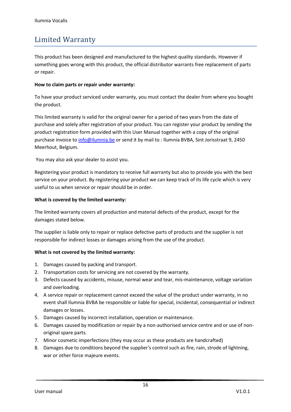## Limited Warranty

This product has been designed and manufactured to the highest quality standards. However if something goes wrong with this product, the official distributor warrants free replacement of parts or repair.

#### **How to claim parts or repair under warranty:**

To have your product serviced under warranty, you must contact the dealer from where you bought the product.

This limited warranty is valid for the original owner for a period of two years from the date of purchase and solely after registration of your product. You can register your product by sending the product registration form provided with this User Manual together with a copy of the original purchase invoice to [info@ilumnia.be](mailto:info@ilumnia.be) or send it by mail to : Ilumnia BVBA, Sint Jorisstraat 9, 2450 Meerhout, Belgium.

You may also ask your dealer to assist you.

Registering your product is mandatory to receive full warranty but also to provide you with the best service on your product. By registering your product we can keep track of its life cycle which is very useful to us when service or repair should be in order.

#### **What is covered by the limited warranty:**

The limited warranty covers all production and material defects of the product, except for the damages stated below.

The supplier is liable only to repair or replace defective parts of products and the supplier is not responsible for indirect losses or damages arising from the use of the product.

#### **What is not covered by the limited warranty:**

- 1. Damages caused by packing and transport.
- 2. Transportation costs for servicing are not covered by the warranty.
- 3. Defects caused by accidents, misuse, normal wear and tear, mis-maintenance, voltage variation and overloading.
- 4. A service repair or replacement cannot exceed the value of the product under warranty, in no event shall Ilumnia BVBA be responsible or liable for special, incidental, consequential or indirect damages or losses.
- 5. Damages caused by incorrect installation, operation or maintenance.
- 6. Damages caused by modification or repair by a non-authorised service centre and or use of nonoriginal spare parts.
- 7. Minor cosmetic imperfections (they may occur as these products are handcrafted)
- 8. Damages due to conditions beyond the supplier's control such as fire, rain, strode of lightning, war or other force majeure events.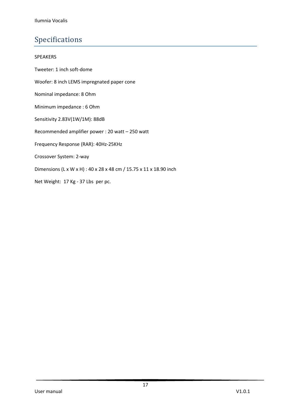## Specifications

#### SPEAKERS

Tweeter: 1 inch soft-dome Woofer: 8 inch LEMS impregnated paper cone Nominal impedance: 8 Ohm Minimum impedance : 6 Ohm Sensitivity 2.83V(1W/1M): 88dB Recommended amplifier power : 20 watt – 250 watt Frequency Response (RAR): 40Hz-25KHz Crossover System: 2-way Dimensions (L x W x H) : 40 x 28 x 48 cm / 15.75 x 11 x 18.90 inch Net Weight: 17 Kg - 37 Lbs per pc.